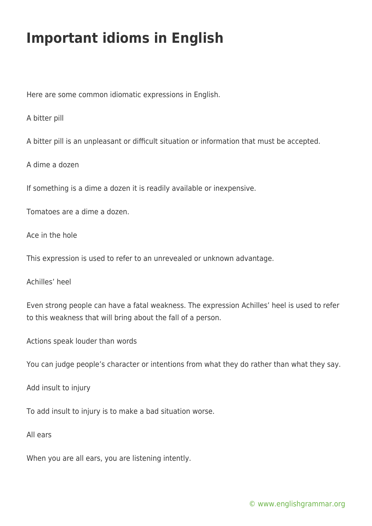## **Important idioms in English**

Here are some common idiomatic expressions in English.

A bitter pill

A bitter pill is an unpleasant or difficult situation or information that must be accepted.

A dime a dozen

If something is a dime a dozen it is readily available or inexpensive.

Tomatoes are a dime a dozen.

Ace in the hole

This expression is used to refer to an unrevealed or unknown advantage.

Achilles' heel

Even strong people can have a fatal weakness. The expression Achilles' heel is used to refer to this weakness that will bring about the fall of a person.

Actions speak louder than words

You can judge people's character or intentions from what they do rather than what they say.

Add insult to injury

To add insult to injury is to make a bad situation worse.

All ears

When you are all ears, you are listening intently.